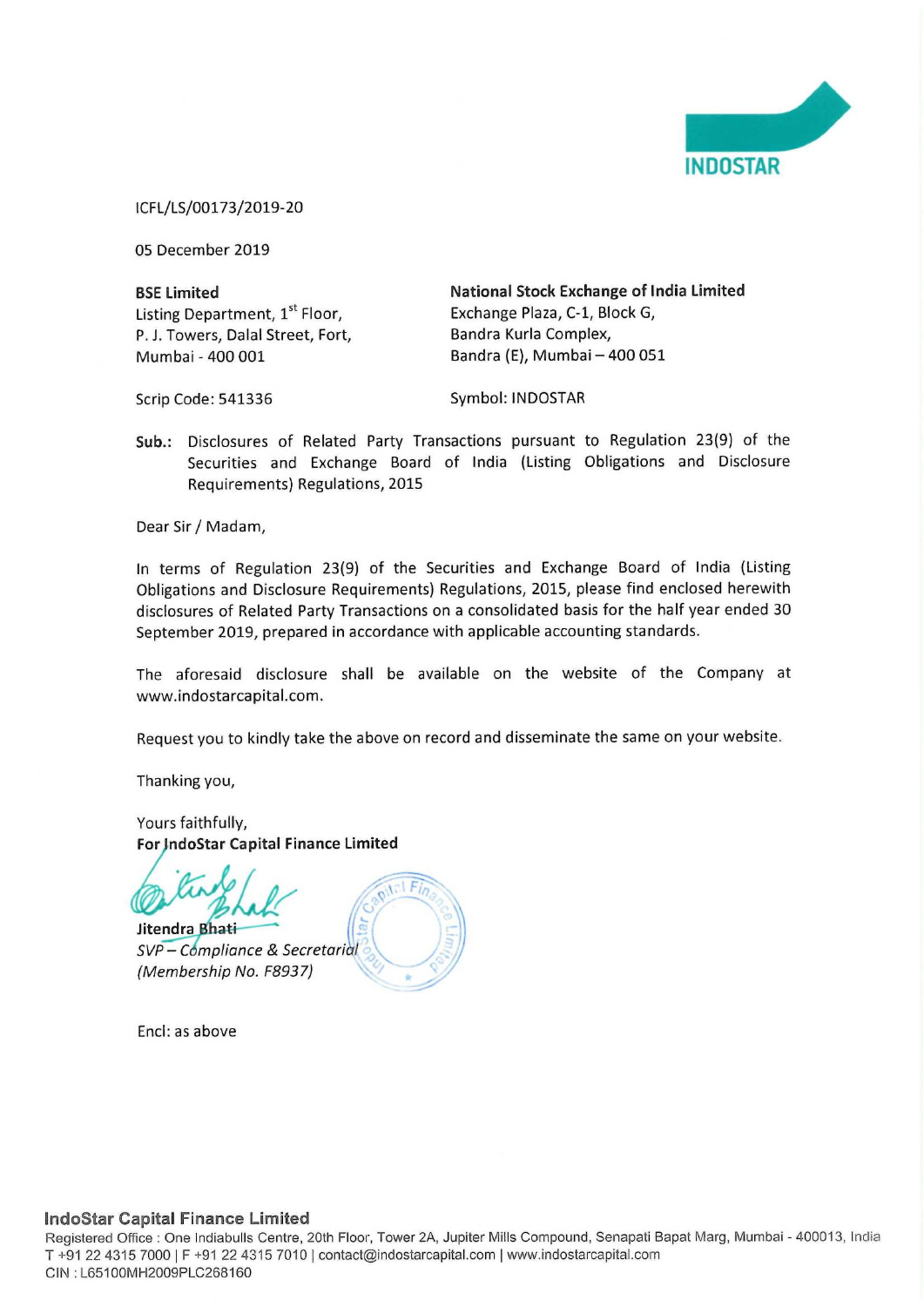

ICFL/LS/00173/2019-20

05 December 2019

Listing Department, 1<sup>st</sup> Floor, Exchange Plaza, C-1, Block G, P. J. Towers, Dalal Street, Fort, Bandra Kurla Complex, Mumbai - 400 001 Bandra (E), Mumbai — 400 051

BSE Limited **National Stock Exchange of India Limited** 

Scrip Code: 541336 Symbol: INDOSTAR

Sub.: Disclosures of Related Party Transactions pursuant to Regulation 23(9) of the Securities and Exchange Board of India (Listing Obligations and Disclosure Requirements) Regulations, 2015

Dear Sir / Madam,

In terms of Regulation 23(9) of the Securities and Exchange Board of India (Listing Obligations and Disclosure Requirements) Regulations, 2015, please find enclosed herewith disclosures of Related Party Transactions on a consolidated basis for the half year ended 30 September 2019, prepared in accordance with applicable accounting standards.

The aforesaid disclosure shall be available on the website of the Company at www. indostarcapital.com.

Request you to kindly take the above on record and disseminate the same on your website.

Thanking you,

Yours faithfully, For JndoStar Capital Finance Limited



SVP - Compliance & Secretarial (Membership No. F8937)

Encl: as above

## IndoStar Capital Finance Limited

**iapital Fina**<br>ffice : One Ind<br>5 7000 | F +9<br>MH2009PLC2 Registered Office : One Indiabulls Centre, 20th Floor, Tower 2A, Jupiter Mills Compound, Senapati Bapat Marg, Mumbai - 400013, India T +91 22 4315 7000 | F +91 22 4315 7010 | contact@indostarcapital.com | www.indostarcapital.com CIN :L65100MH2009PLC268160